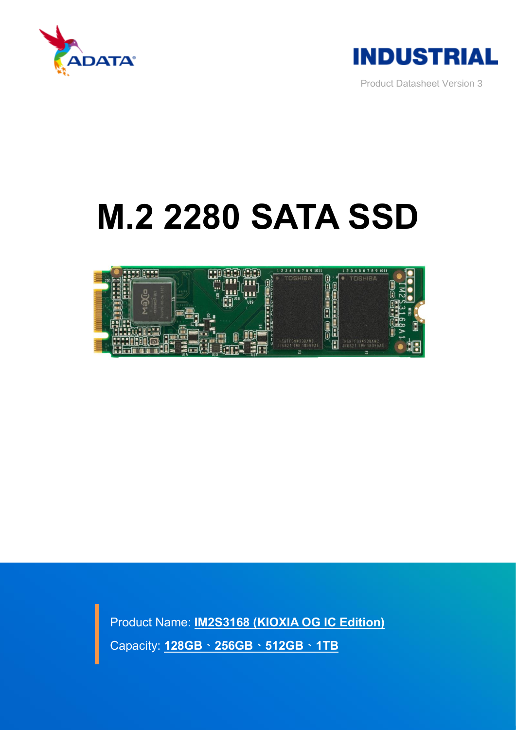



Product Datasheet Version 3

# **M.2 2280 SATA SSD**



 Product Name: **IM2S3168 (KIOXIA OG IC Edition)** Capacity: **128GB、256GB、512GB、1TB**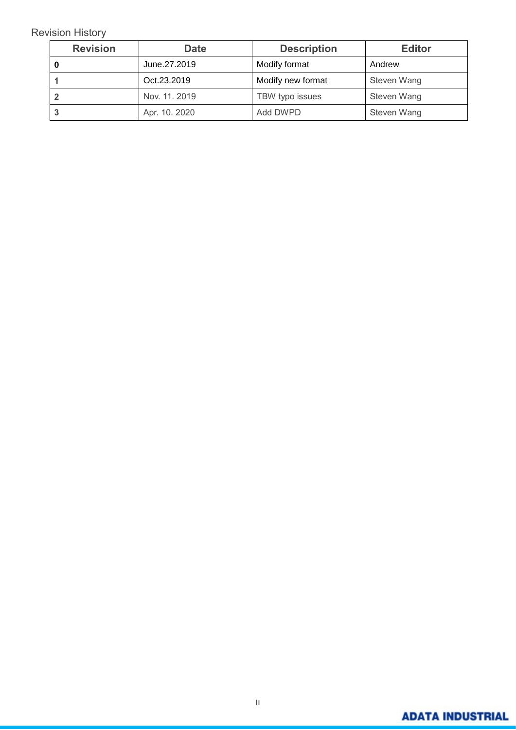#### Revision History

| <b>Revision</b> | <b>Date</b>   | <b>Description</b> | <b>Editor</b> |
|-----------------|---------------|--------------------|---------------|
|                 | June.27.2019  | Modify format      | Andrew        |
|                 | Oct.23.2019   | Modify new format  | Steven Wang   |
|                 | Nov. 11. 2019 | TBW typo issues    | Steven Wang   |
|                 | Apr. 10. 2020 | Add DWPD           | Steven Wang   |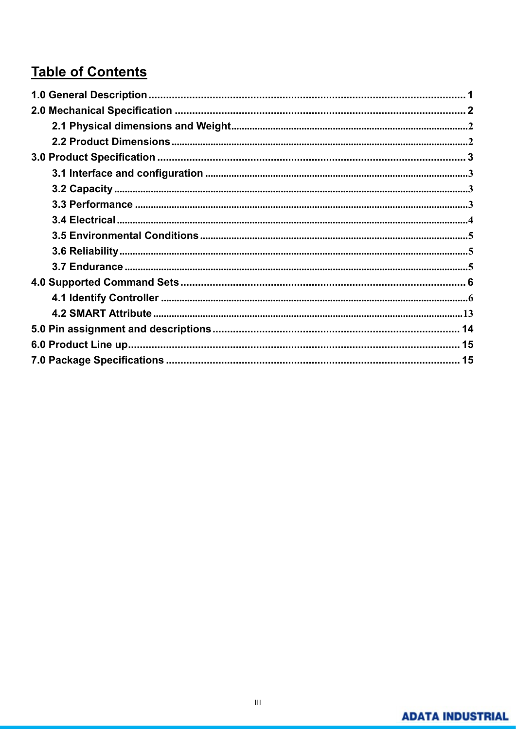# **Table of Contents**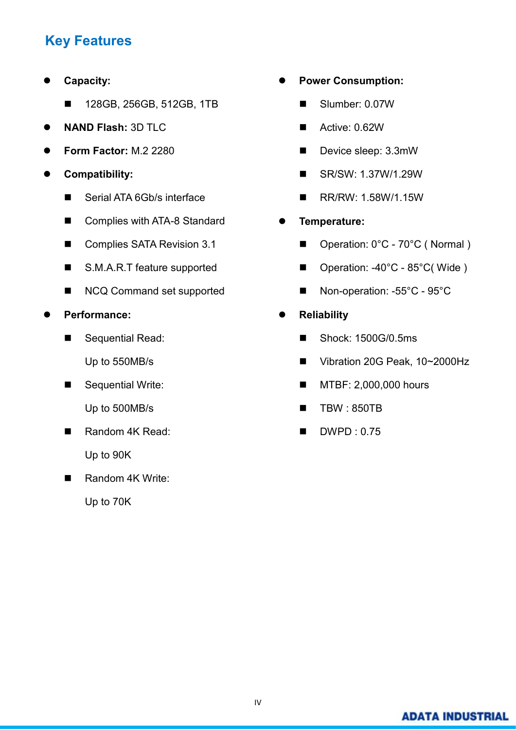# **Key Features**

- **Capacity:** 
	- 128GB, 256GB, 512GB, 1TB
- **NAND Flash:** 3D TLC
- **Form Factor:** M.2 2280
- **Compatibility:**
	- Serial ATA 6Gb/s interface
	- Complies with ATA-8 Standard
	- Complies SATA Revision 3.1
	- S.M.A.R.T feature supported
	- NCQ Command set supported
- **Performance:** 
	- Sequential Read: Up to 550MB/s
	- Sequential Write: Up to 500MB/s
	- Random 4K Read: Up to 90K
	- Random 4K Write:

Up to 70K

- **Power Consumption:**
	- Slumber: 0.07W
	- Active: 0.62W
	- Device sleep: 3.3mW
	- SR/SW: 1.37W/1.29W
	- RR/RW: 1.58W/1.15W
- **Temperature:**
	- Operation: 0°C 70°C (Normal)
	- Operation: -40°C 85°C(Wide)
	- Non-operation: -55°C 95°C
- **Reliability**
	- Shock: 1500G/0.5ms
	- Vibration 20G Peak, 10~2000Hz
	- MTBF: 2,000,000 hours
	- TBW : 850TB
	- DWPD : 0.75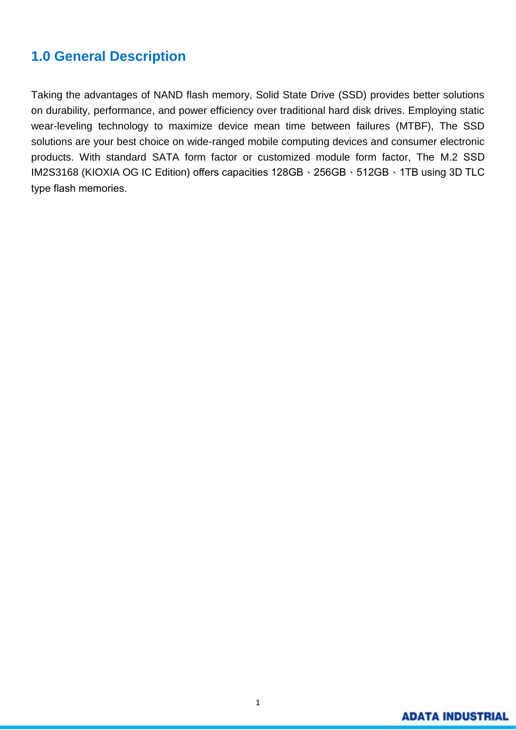## <span id="page-4-0"></span>**1.0 General Description**

Taking the advantages of NAND flash memory, Solid State Drive (SSD) provides better solutions on durability, performance, and power efficiency over traditional hard disk drives. Employing static wear-leveling technology to maximize device mean time between failures (MTBF), The SSD solutions are your best choice on wide-ranged mobile computing devices and consumer electronic products. With standard SATA form factor or customized module form factor, The M.2 SSD IM2S3168 (KIOXIA OG IC Edition) offers capacities 128GB、256GB、512GB、1TB using 3D TLC type flash memories.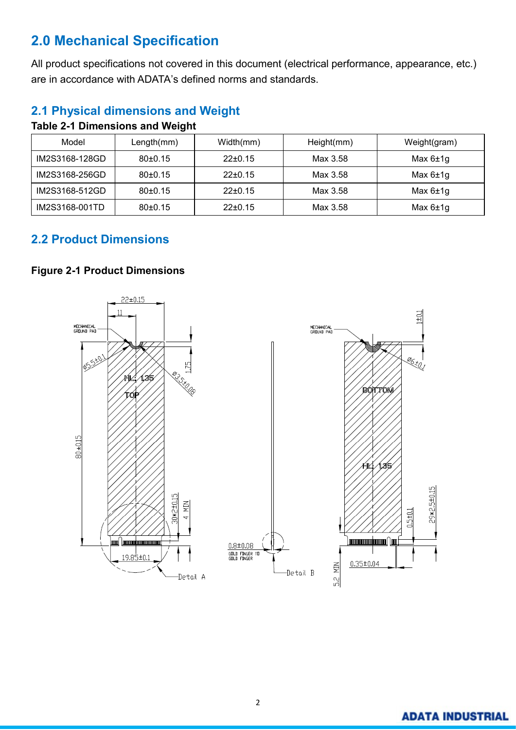# <span id="page-5-0"></span>**2.0 Mechanical Specification**

All product specifications not covered in this document (electrical performance, appearance, etc.) are in accordance with ADATA's defined norms and standards.

## <span id="page-5-1"></span>**2.1 Physical dimensions and Weight**

| Model          | Length(mm) | Width(mm)     | Height(mm) | Weight(gram) |
|----------------|------------|---------------|------------|--------------|
| IM2S3168-128GD | 80±0.15    | $22 \pm 0.15$ | Max 3.58   | Max $6±1g$   |
| IM2S3168-256GD | 80±0.15    | $22 \pm 0.15$ | Max 3.58   | Max $6±1g$   |
| IM2S3168-512GD | 80±0.15    | $22 \pm 0.15$ | Max 3.58   | Max $6±1g$   |
| IM2S3168-001TD | 80±0.15    | $22 \pm 0.15$ | Max 3.58   | Max $6±1g$   |

#### **Table 2-1 Dimensions and Weight**

## <span id="page-5-2"></span>**2.2 Product Dimensions**

#### **Figure 2-1 Product Dimensions**

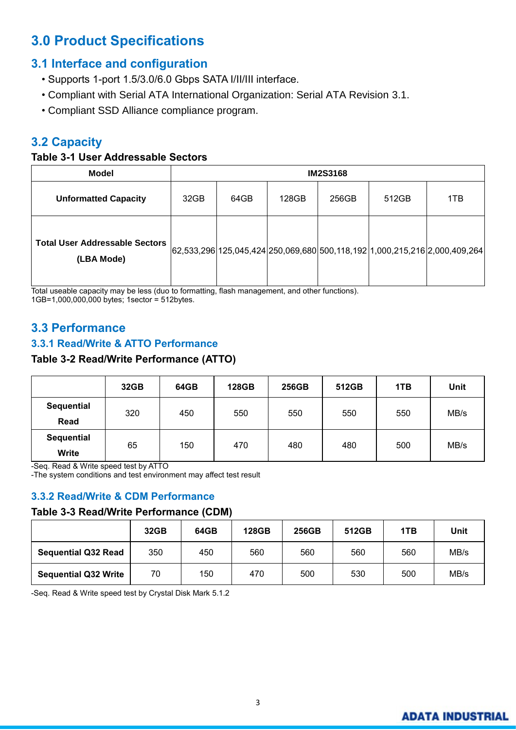# <span id="page-6-0"></span>**3.0 Product Specifications**

## <span id="page-6-1"></span>**3.1 Interface and configuration**

- Supports 1-port 1.5/3.0/6.0 Gbps SATA I/II/III interface.
- Compliant with Serial ATA International Organization: Serial ATA Revision 3.1.
- Compliant SSD Alliance compliance program.

## <span id="page-6-2"></span>**3.2 Capacity**

#### **Table 3-1 User Addressable Sectors**

| <b>Model</b>                                        | <b>IM2S3168</b> |      |       |       |       |                                                                            |
|-----------------------------------------------------|-----------------|------|-------|-------|-------|----------------------------------------------------------------------------|
| <b>Unformatted Capacity</b>                         | 32GB            | 64GB | 128GB | 256GB | 512GB | 1TB                                                                        |
| <b>Total User Addressable Sectors</b><br>(LBA Mode) |                 |      |       |       |       | 62,533,296 125,045,424 250,069,680 500,118,192 1,000,215,216 2,000,409,264 |

Total useable capacity may be less (duo to formatting, flash management, and other functions). 1GB=1,000,000,000 bytes; 1sector = 512bytes.

## <span id="page-6-3"></span>**3.3 Performance**

#### **3.3.1 Read/Write & ATTO Performance**

#### **Table 3-2 Read/Write Performance (ATTO)**

|                   | 32GB | 64GB      | <b>128GB</b> | 256GB | 512GB | 1TB | <b>Unit</b> |
|-------------------|------|-----------|--------------|-------|-------|-----|-------------|
| <b>Sequential</b> | 320  | 450       | 550          | 550   | 550   | 550 | MB/s        |
| Read              |      |           |              |       |       |     |             |
| <b>Sequential</b> |      |           | 470          | 480   | 480   | 500 | MB/s        |
| Write             |      | 65<br>150 |              |       |       |     |             |

-Seq. Read & Write speed test by ATTO

-The system conditions and test environment may affect test result

#### **3.3.2 Read/Write & CDM Performance**

#### **Table 3-3 Read/Write Performance (CDM)**

|                             | 32GB | 64GB | <b>128GB</b> | 256GB | 512GB | 1TB | Unit |
|-----------------------------|------|------|--------------|-------|-------|-----|------|
| <b>Sequential Q32 Read</b>  | 350  | 450  | 560          | 560   | 560   | 560 | MB/s |
| <b>Sequential Q32 Write</b> | 70   | 150  | 470          | 500   | 530   | 500 | MB/s |

-Seq. Read & Write speed test by Crystal Disk Mark 5.1.2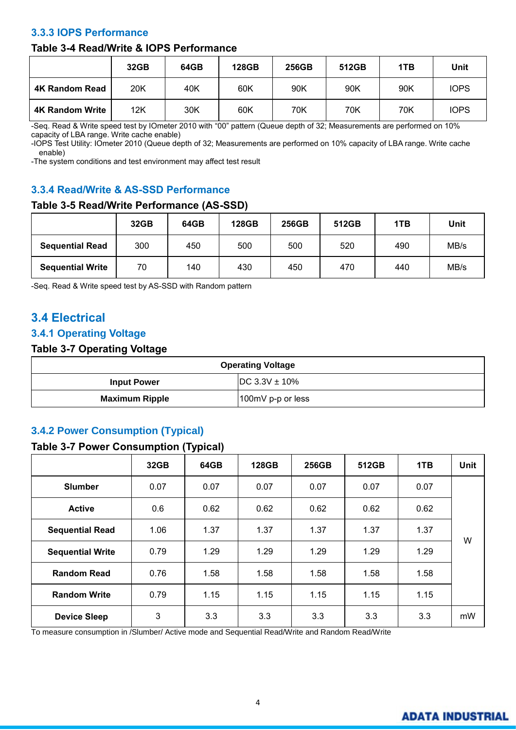#### **3.3.3 IOPS Performance**

#### **Table 3-4 Read/Write & IOPS Performance**

|                        | 32GB | 64GB | <b>128GB</b> | 256GB | 512GB | 1TB | Unit        |
|------------------------|------|------|--------------|-------|-------|-----|-------------|
| <b>4K Random Read</b>  | 20K  | 40K  | 60K          | 90K   | 90K   | 90K | <b>IOPS</b> |
| <b>4K Random Write</b> | 12K  | 30K  | 60K          | 70K   | 70K   | 70K | <b>IOPS</b> |

-Seq. Read & Write speed test by IOmeter 2010 with "00" pattern (Queue depth of 32; Measurements are performed on 10% capacity of LBA range. Write cache enable)

-IOPS Test Utility: IOmeter 2010 (Queue depth of 32; Measurements are performed on 10% capacity of LBA range. Write cache enable)

-The system conditions and test environment may affect test result

#### **3.3.4 Read/Write & AS-SSD Performance**

#### **Table 3-5 Read/Write Performance (AS-SSD)**

|                         | 32GB | 64GB | <b>128GB</b> | 256GB | 512GB | 1TB | Unit |
|-------------------------|------|------|--------------|-------|-------|-----|------|
| <b>Sequential Read</b>  | 300  | 450  | 500          | 500   | 520   | 490 | MB/s |
| <b>Sequential Write</b> | 70   | 140  | 430          | 450   | 470   | 440 | MB/s |

-Seq. Read & Write speed test by AS-SSD with Random pattern

## <span id="page-7-0"></span>**3.4 Electrical**

#### **3.4.1 Operating Voltage**

#### **Table 3-7 Operating Voltage**

| <b>Operating Voltage</b>                 |                   |  |  |
|------------------------------------------|-------------------|--|--|
| $DC 3.3V \pm 10\%$<br><b>Input Power</b> |                   |  |  |
| <b>Maximum Ripple</b>                    | 100mV p-p or less |  |  |

#### **3.4.2 Power Consumption (Typical)**

#### **Table 3-7 Power Consumption (Typical)**

|                         | 32GB | 64GB | <b>128GB</b> | 256GB | 512GB | 1TB  | <b>Unit</b> |
|-------------------------|------|------|--------------|-------|-------|------|-------------|
| <b>Slumber</b>          | 0.07 | 0.07 | 0.07         | 0.07  | 0.07  | 0.07 |             |
| <b>Active</b>           | 0.6  | 0.62 | 0.62         | 0.62  | 0.62  | 0.62 |             |
| <b>Sequential Read</b>  | 1.06 | 1.37 | 1.37         | 1.37  | 1.37  | 1.37 |             |
| <b>Sequential Write</b> | 0.79 | 1.29 | 1.29         | 1.29  | 1.29  | 1.29 | W           |
| <b>Random Read</b>      | 0.76 | 1.58 | 1.58         | 1.58  | 1.58  | 1.58 |             |
| <b>Random Write</b>     | 0.79 | 1.15 | 1.15         | 1.15  | 1.15  | 1.15 |             |
| <b>Device Sleep</b>     | 3    | 3.3  | 3.3          | 3.3   | 3.3   | 3.3  | mW          |

<span id="page-7-1"></span>To measure consumption in /Slumber/ Active mode and Sequential Read/Write and Random Read/Write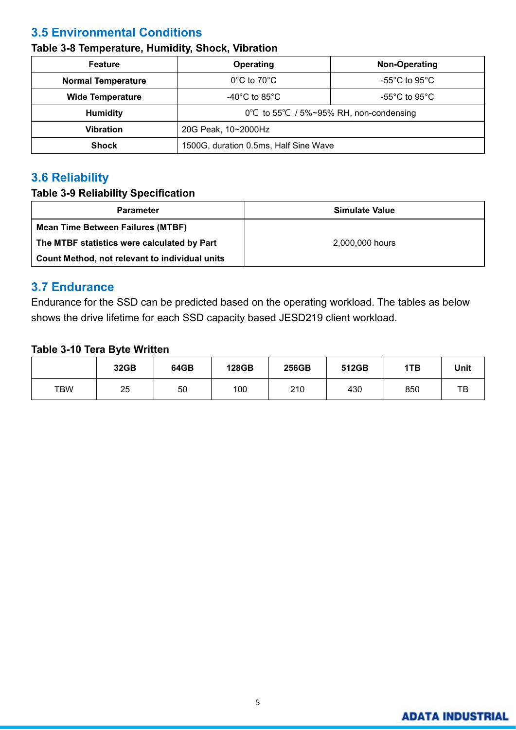## **3.5 Environmental Conditions**

## **Table 3-8 Temperature, Humidity, Shock, Vibration**

| <b>Feature</b>            | Operating                                                    | Non-Operating                       |  |  |  |
|---------------------------|--------------------------------------------------------------|-------------------------------------|--|--|--|
| <b>Normal Temperature</b> | $0^{\circ}$ C to 70 $^{\circ}$ C                             | -55 $^{\circ}$ C to 95 $^{\circ}$ C |  |  |  |
| <b>Wide Temperature</b>   | -40 $^{\circ}$ C to 85 $^{\circ}$ C                          | -55 $^{\circ}$ C to 95 $^{\circ}$ C |  |  |  |
| <b>Humidity</b>           | $0^{\circ}$ C to 55 $^{\circ}$ C / 5%~95% RH, non-condensing |                                     |  |  |  |
| <b>Vibration</b>          | 20G Peak, 10~2000Hz                                          |                                     |  |  |  |
| <b>Shock</b>              | 1500G, duration 0.5ms, Half Sine Wave                        |                                     |  |  |  |

## <span id="page-8-0"></span>**3.6 Reliability**

#### **Table 3-9 Reliability Specification**

| <b>Parameter</b>                               | Simulate Value  |
|------------------------------------------------|-----------------|
| <b>Mean Time Between Failures (MTBF)</b>       |                 |
| The MTBF statistics were calculated by Part    | 2.000.000 hours |
| Count Method, not relevant to individual units |                 |

## <span id="page-8-1"></span>**3.7 Endurance**

Endurance for the SSD can be predicted based on the operating workload. The tables as below shows the drive lifetime for each SSD capacity based JESD219 client workload.

#### **Table 3-10 Tera Byte Written**

|     | 32GB | 64GB | 128GB | 256GB | 512GB | 1TB | <b>Unit</b> |
|-----|------|------|-------|-------|-------|-----|-------------|
| TBW | 25   | 50   | 100   | 210   | 430   | 850 | ТВ          |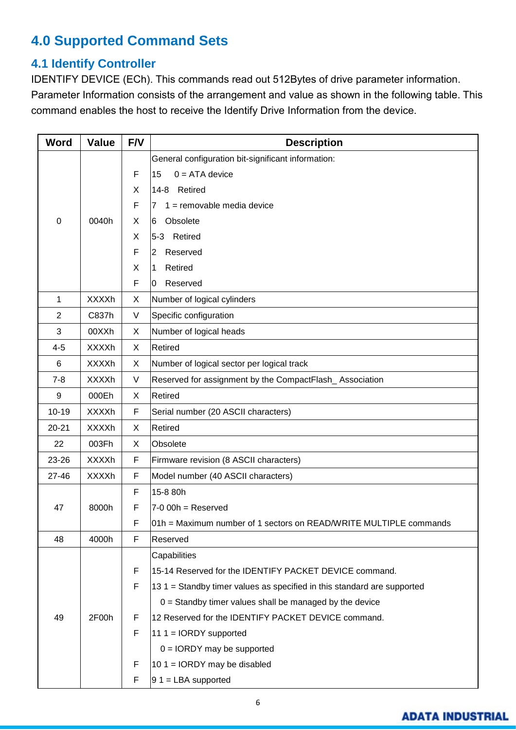# <span id="page-9-1"></span><span id="page-9-0"></span>**4.0 Supported Command Sets**

## **4.1 Identify Controller**

IDENTIFY DEVICE (ECh). This commands read out 512Bytes of drive parameter information. Parameter Information consists of the arrangement and value as shown in the following table. This command enables the host to receive the Identify Drive Information from the device.

| <b>Word</b>    | <b>Value</b> | F/V         | <b>Description</b>                                                      |  |  |  |  |
|----------------|--------------|-------------|-------------------------------------------------------------------------|--|--|--|--|
|                |              |             | General configuration bit-significant information:                      |  |  |  |  |
|                |              | F           | $0 = ATA$ device<br>15                                                  |  |  |  |  |
|                |              | X           | 14-8 Retired                                                            |  |  |  |  |
|                |              | F           | $1 =$ removable media device<br>7                                       |  |  |  |  |
| $\mathbf 0$    | 0040h        | X           | Obsolete<br>6                                                           |  |  |  |  |
|                |              | X           | 5-3 Retired                                                             |  |  |  |  |
|                |              | F           | Reserved<br>2                                                           |  |  |  |  |
|                |              | X           | Retired<br>1                                                            |  |  |  |  |
|                |              | F           | Reserved<br>10                                                          |  |  |  |  |
| $\mathbf 1$    | <b>XXXXh</b> | X           | Number of logical cylinders                                             |  |  |  |  |
| $\overline{2}$ | C837h        | V           | Specific configuration                                                  |  |  |  |  |
| 3              | 00XXh        | X           | Number of logical heads                                                 |  |  |  |  |
| $4 - 5$        | <b>XXXXh</b> | X           | Retired                                                                 |  |  |  |  |
| 6              | <b>XXXXh</b> | X           | Number of logical sector per logical track                              |  |  |  |  |
| $7 - 8$        | <b>XXXXh</b> | V           | Reserved for assignment by the CompactFlash_Association                 |  |  |  |  |
| 9              | 000Eh        | X           | Retired                                                                 |  |  |  |  |
| $10 - 19$      | <b>XXXXh</b> | $\mathsf F$ | Serial number (20 ASCII characters)                                     |  |  |  |  |
| $20 - 21$      | <b>XXXXh</b> | X           | Retired                                                                 |  |  |  |  |
| 22             | 003Fh        | X           | Obsolete                                                                |  |  |  |  |
| 23-26          | <b>XXXXh</b> | F           | Firmware revision (8 ASCII characters)                                  |  |  |  |  |
| $27 - 46$      | <b>XXXXh</b> | F           | Model number (40 ASCII characters)                                      |  |  |  |  |
|                |              | F           | 15-8 80h                                                                |  |  |  |  |
| 47             | 8000h        | F           | $7-0$ 00h = Reserved                                                    |  |  |  |  |
|                |              | F           | 01h = Maximum number of 1 sectors on READ/WRITE MULTIPLE commands       |  |  |  |  |
| 48             | 4000h        | F           | Reserved                                                                |  |  |  |  |
|                |              |             | Capabilities                                                            |  |  |  |  |
|                |              | F           | 15-14 Reserved for the IDENTIFY PACKET DEVICE command.                  |  |  |  |  |
|                |              | F           | 13.1 = Standby timer values as specified in this standard are supported |  |  |  |  |
|                |              |             | $0 =$ Standby timer values shall be managed by the device               |  |  |  |  |
| 49             | 2F00h        | F           | 12 Reserved for the IDENTIFY PACKET DEVICE command.                     |  |  |  |  |
|                |              | F           | 11 1 = $IORDY$ supported                                                |  |  |  |  |
|                |              |             | $0 = IORDY$ may be supported                                            |  |  |  |  |
|                |              | F           | 10 1 = $IORDY$ may be disabled                                          |  |  |  |  |
|                |              | F           | $91 = LBA supported$                                                    |  |  |  |  |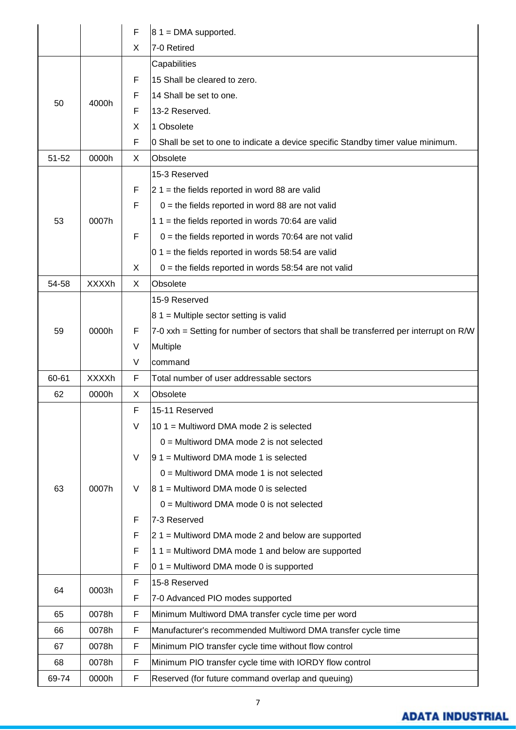|           |              | F           | $81$ = DMA supported.                                                                  |
|-----------|--------------|-------------|----------------------------------------------------------------------------------------|
|           |              | X           | 7-0 Retired                                                                            |
|           |              |             | Capabilities                                                                           |
|           |              | F           | 15 Shall be cleared to zero.                                                           |
|           |              | F           | 14 Shall be set to one.                                                                |
| 50        | 4000h        | F           | 13-2 Reserved.                                                                         |
|           |              | X           | 1 Obsolete                                                                             |
|           |              | F           | 0 Shall be set to one to indicate a device specific Standby timer value minimum.       |
| $51 - 52$ | 0000h        | X           | Obsolete                                                                               |
|           |              |             | 15-3 Reserved                                                                          |
|           |              | F           | $21$ = the fields reported in word 88 are valid                                        |
|           |              | F           | $0 =$ the fields reported in word 88 are not valid                                     |
| 53        | 0007h        |             | 1 1 = the fields reported in words 70:64 are valid                                     |
|           |              | F           | $0 =$ the fields reported in words 70:64 are not valid                                 |
|           |              |             | $0$ 1 = the fields reported in words 58:54 are valid                                   |
|           |              | X           | $0 =$ the fields reported in words 58:54 are not valid                                 |
| 54-58     | <b>XXXXh</b> | X           | Obsolete                                                                               |
|           |              |             | 15-9 Reserved                                                                          |
|           |              |             | $81$ = Multiple sector setting is valid                                                |
| 59        | 0000h        | F           | 7-0 xxh = Setting for number of sectors that shall be transferred per interrupt on R/W |
|           |              | V           | Multiple                                                                               |
|           |              | V           | command                                                                                |
| 60-61     | <b>XXXXh</b> | F           | Total number of user addressable sectors                                               |
| 62        | 0000h        | X           | Obsolete                                                                               |
|           |              | F           | 15-11 Reserved                                                                         |
|           |              | V           | 10 1 = Multiword DMA mode 2 is selected                                                |
|           |              |             | $0 =$ Multiword DMA mode 2 is not selected                                             |
|           |              | V           | $ 91$ = Multiword DMA mode 1 is selected                                               |
|           |              |             | $0 =$ Multiword DMA mode 1 is not selected                                             |
| 63        | 0007h        | V           | $ 81$ = Multiword DMA mode 0 is selected                                               |
|           |              |             | $0 =$ Multiword DMA mode 0 is not selected                                             |
|           |              | F           | 7-3 Reserved                                                                           |
|           |              | F           | $21$ = Multiword DMA mode 2 and below are supported                                    |
|           |              | F           | $11 =$ Multiword DMA mode 1 and below are supported                                    |
|           |              | F           | $0.1$ = Multiword DMA mode 0 is supported                                              |
|           |              | F           | 15-8 Reserved                                                                          |
| 64        | 0003h        | F           | 7-0 Advanced PIO modes supported                                                       |
| 65        | 0078h        | F           | Minimum Multiword DMA transfer cycle time per word                                     |
| 66        | 0078h        | F           | Manufacturer's recommended Multiword DMA transfer cycle time                           |
| 67        | 0078h        | $\mathsf F$ | Minimum PIO transfer cycle time without flow control                                   |
| 68        | 0078h        | F           | Minimum PIO transfer cycle time with IORDY flow control                                |
| 69-74     | 0000h        | F           | Reserved (for future command overlap and queuing)                                      |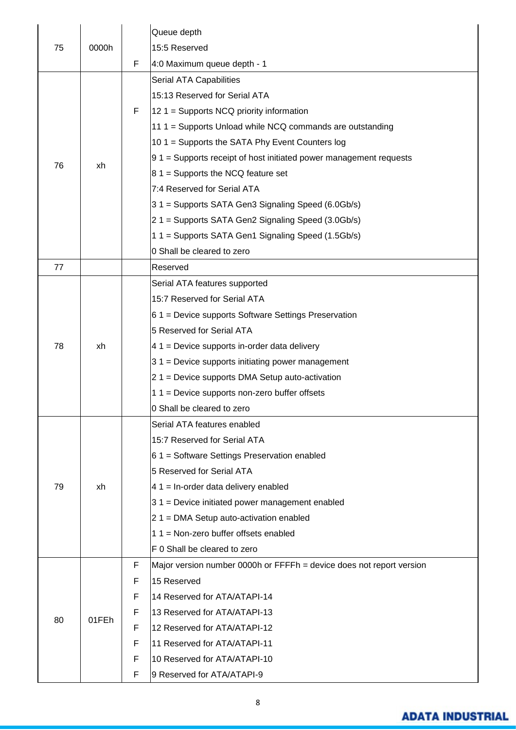|    |       |   | Queue depth                                                          |
|----|-------|---|----------------------------------------------------------------------|
| 75 | 0000h |   | 15:5 Reserved                                                        |
|    |       | F | 4:0 Maximum queue depth - 1                                          |
|    |       |   | Serial ATA Capabilities                                              |
|    |       |   | 15:13 Reserved for Serial ATA                                        |
|    |       | F | $121$ = Supports NCQ priority information                            |
|    |       |   | 11 1 = Supports Unload while NCQ commands are outstanding            |
|    |       |   | 10 1 = Supports the SATA Phy Event Counters log                      |
|    |       |   | $91$ = Supports receipt of host initiated power management requests  |
| 76 | xh    |   | $81$ = Supports the NCQ feature set                                  |
|    |       |   | 7:4 Reserved for Serial ATA                                          |
|    |       |   | 31 = Supports SATA Gen3 Signaling Speed (6.0Gb/s)                    |
|    |       |   | 21 = Supports SATA Gen2 Signaling Speed (3.0Gb/s)                    |
|    |       |   | 11 = Supports SATA Gen1 Signaling Speed (1.5Gb/s)                    |
|    |       |   | 0 Shall be cleared to zero                                           |
| 77 |       |   | Reserved                                                             |
|    |       |   | Serial ATA features supported                                        |
|    |       |   | 15:7 Reserved for Serial ATA                                         |
|    |       |   | $61$ = Device supports Software Settings Preservation                |
|    |       |   | 5 Reserved for Serial ATA                                            |
| 78 | xh    |   | $41$ = Device supports in-order data delivery                        |
|    |       |   | $31$ = Device supports initiating power management                   |
|    |       |   | 2 1 = Device supports DMA Setup auto-activation                      |
|    |       |   | $11$ = Device supports non-zero buffer offsets                       |
|    |       |   | 0 Shall be cleared to zero                                           |
|    |       |   | Serial ATA features enabled                                          |
|    |       |   | 15:7 Reserved for Serial ATA                                         |
|    | xh    |   | $61$ = Software Settings Preservation enabled                        |
|    |       |   | 5 Reserved for Serial ATA                                            |
| 79 |       |   | $41$ = In-order data delivery enabled                                |
|    |       |   | 31 = Device initiated power management enabled                       |
|    |       |   | $21$ = DMA Setup auto-activation enabled                             |
|    |       |   | 1 1 = Non-zero buffer offsets enabled                                |
|    |       |   | F 0 Shall be cleared to zero                                         |
|    |       | F | Major version number 0000h or FFFFh = device does not report version |
|    |       | F | 15 Reserved                                                          |
|    |       | F | 14 Reserved for ATA/ATAPI-14                                         |
|    |       | F | 13 Reserved for ATA/ATAPI-13                                         |
| 80 | 01FEh | F | 12 Reserved for ATA/ATAPI-12                                         |
|    |       | F | 11 Reserved for ATA/ATAPI-11                                         |
|    |       | F | 10 Reserved for ATA/ATAPI-10                                         |
|    |       | F | 9 Reserved for ATA/ATAPI-9                                           |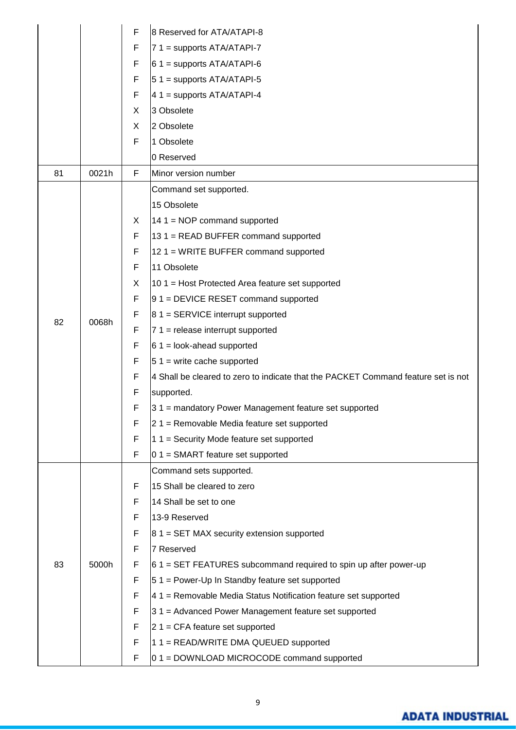|    |       | F  | 8 Reserved for ATA/ATAPI-8                                                        |
|----|-------|----|-----------------------------------------------------------------------------------|
|    |       | F  | $7 1 =$ supports ATA/ATAPI-7                                                      |
|    |       | F  | $61$ = supports ATA/ATAPI-6                                                       |
|    |       | F  | $51$ = supports ATA/ATAPI-5                                                       |
|    |       | F  | $41$ = supports ATA/ATAPI-4                                                       |
|    |       | X  | 3 Obsolete                                                                        |
|    |       | X  | 2 Obsolete                                                                        |
|    |       | F  | 1 Obsolete                                                                        |
|    |       |    | 0 Reserved                                                                        |
| 81 | 0021h | F  | Minor version number                                                              |
|    |       |    | Command set supported.                                                            |
|    |       |    | 15 Obsolete                                                                       |
|    |       | X. | $14 1 = \text{NOP}$ command supported                                             |
|    |       | F  | $131$ = READ BUFFER command supported                                             |
|    |       | F  | $121$ = WRITE BUFFER command supported                                            |
|    |       | F  | 11 Obsolete                                                                       |
|    |       | X  | $101$ = Host Protected Area feature set supported                                 |
|    | 0068h | F  | $ 91$ = DEVICE RESET command supported                                            |
| 82 |       | F  | $ 8 1 =$ SERVICE interrupt supported                                              |
|    |       | F  | $7 1$ = release interrupt supported                                               |
|    |       | F  | $61 =$ look-ahead supported                                                       |
|    |       | F  | $51$ = write cache supported                                                      |
|    |       | F  | 4 Shall be cleared to zero to indicate that the PACKET Command feature set is not |
|    |       | F  | supported.                                                                        |
|    |       | F  | $31$ = mandatory Power Management feature set supported                           |
|    |       | F  | $ 2 1 $ = Removable Media feature set supported                                   |
|    |       | F  | $1$ 1 = Security Mode feature set supported                                       |
|    |       | F  | $0.1$ = SMART feature set supported                                               |
|    |       |    | Command sets supported.                                                           |
|    |       | F  | 15 Shall be cleared to zero                                                       |
|    |       | F  | 14 Shall be set to one                                                            |
|    |       | F  | 13-9 Reserved                                                                     |
|    |       | F  | $ 81$ = SET MAX security extension supported                                      |
|    |       | F  | 7 Reserved                                                                        |
| 83 | 5000h | F  | $61$ = SET FEATURES subcommand required to spin up after power-up                 |
|    |       | F  | $ 51$ = Power-Up In Standby feature set supported                                 |
|    |       | F  | $ 41 $ = Removable Media Status Notification feature set supported                |
|    |       | F  | 31 = Advanced Power Management feature set supported                              |
|    |       | F  | $ 2 1 $ = CFA feature set supported                                               |
|    |       | F  | $1$ 1 = READ/WRITE DMA QUEUED supported                                           |
|    |       | F  | $ 0 1 $ = DOWNLOAD MICROCODE command supported                                    |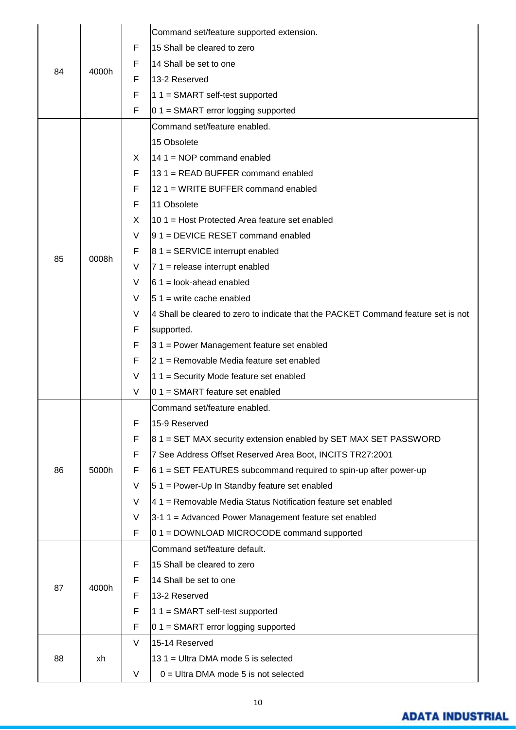|    |       |   | Command set/feature supported extension.                                          |
|----|-------|---|-----------------------------------------------------------------------------------|
| 84 |       | F | 15 Shall be cleared to zero                                                       |
|    |       | F | 14 Shall be set to one                                                            |
|    | 4000h | F | 13-2 Reserved                                                                     |
|    |       | F | $11 = SMART$ self-test supported                                                  |
|    |       | F | $0.1 = SMART$ error logging supported                                             |
|    |       |   | Command set/feature enabled.                                                      |
|    |       |   | 15 Obsolete                                                                       |
|    |       | X | 14 1 = $NOP$ command enabled                                                      |
|    |       | F | 131 = READ BUFFER command enabled                                                 |
|    |       | F | 12 1 = WRITE BUFFER command enabled                                               |
|    |       | F | 11 Obsolete                                                                       |
|    |       | X | 10 1 = Host Protected Area feature set enabled                                    |
|    |       | V | $ 91$ = DEVICE RESET command enabled                                              |
|    |       | F | $81 =$ SERVICE interrupt enabled                                                  |
| 85 | 0008h | V | $71$ = release interrupt enabled                                                  |
|    |       | V | $61$ = look-ahead enabled                                                         |
|    |       | V | $ 51 $ = write cache enabled                                                      |
|    |       | V | 4 Shall be cleared to zero to indicate that the PACKET Command feature set is not |
|    |       | F | supported.                                                                        |
|    |       | F | 31 = Power Management feature set enabled                                         |
|    |       | F | 21 = Removable Media feature set enabled                                          |
|    |       | V | 1 1 = Security Mode feature set enabled                                           |
|    |       | V | 0 1 = SMART feature set enabled                                                   |
|    |       |   | Command set/feature enabled.                                                      |
|    | 5000h | F | 15-9 Reserved                                                                     |
|    |       | F | 81 = SET MAX security extension enabled by SET MAX SET PASSWORD                   |
|    |       | F | 7 See Address Offset Reserved Area Boot, INCITS TR27:2001                         |
| 86 |       | F | $61$ = SET FEATURES subcommand required to spin-up after power-up                 |
|    |       | V | $51$ = Power-Up In Standby feature set enabled                                    |
|    |       | V | 41 = Removable Media Status Notification feature set enabled                      |
|    |       | V | 3-1 1 = Advanced Power Management feature set enabled                             |
|    |       | F | $0.1 =$ DOWNLOAD MICROCODE command supported                                      |
|    |       |   | Command set/feature default.                                                      |
|    |       | F | 15 Shall be cleared to zero                                                       |
|    |       | F | 14 Shall be set to one                                                            |
| 87 | 4000h | F | 13-2 Reserved                                                                     |
|    |       | F | $11 = SMART$ self-test supported                                                  |
|    |       | F | $0.1$ = SMART error logging supported                                             |
|    |       | V | 15-14 Reserved                                                                    |
| 88 | xh    |   | 13 1 = Ultra DMA mode 5 is selected                                               |
|    |       | V | $0 =$ Ultra DMA mode 5 is not selected                                            |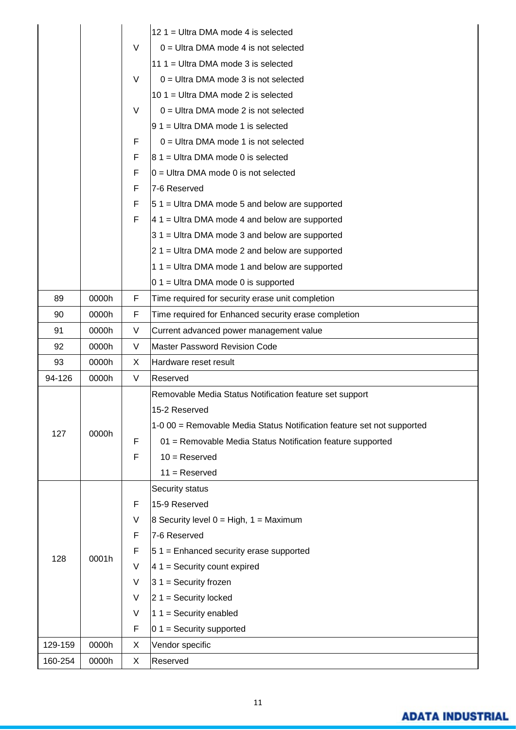|         |       |   | 12 1 = Ultra DMA mode 4 is selected                                    |  |  |
|---------|-------|---|------------------------------------------------------------------------|--|--|
|         |       | V | $0 =$ Ultra DMA mode 4 is not selected                                 |  |  |
|         |       |   | 11 1 = Ultra DMA mode 3 is selected                                    |  |  |
|         |       | V | $0 =$ Ultra DMA mode 3 is not selected                                 |  |  |
|         |       |   | 10 1 = Ultra DMA mode 2 is selected                                    |  |  |
|         |       | V | $0 =$ Ultra DMA mode 2 is not selected                                 |  |  |
|         |       |   | $ 91$ = Ultra DMA mode 1 is selected                                   |  |  |
|         |       | F | $0 =$ Ultra DMA mode 1 is not selected                                 |  |  |
|         |       | F | $ 81$ = Ultra DMA mode 0 is selected                                   |  |  |
|         |       | F | $0 =$ Ultra DMA mode 0 is not selected                                 |  |  |
|         |       | F | 7-6 Reserved                                                           |  |  |
|         |       | F | $51$ = Ultra DMA mode 5 and below are supported                        |  |  |
|         |       | F | $41$ = Ultra DMA mode 4 and below are supported                        |  |  |
|         |       |   | $31$ = Ultra DMA mode 3 and below are supported                        |  |  |
|         |       |   | $21$ = Ultra DMA mode 2 and below are supported                        |  |  |
|         |       |   | $11 =$ Ultra DMA mode 1 and below are supported                        |  |  |
|         |       |   | $0.1$ = Ultra DMA mode 0 is supported                                  |  |  |
| 89      | 0000h | F | Time required for security erase unit completion                       |  |  |
| 90      | 0000h | F | Time required for Enhanced security erase completion                   |  |  |
| 91      | 0000h | V | Current advanced power management value                                |  |  |
| 92      | 0000h | V | <b>Master Password Revision Code</b>                                   |  |  |
| 93      | 0000h | X | Hardware reset result                                                  |  |  |
| 94-126  | 0000h | V | Reserved                                                               |  |  |
|         |       |   | Removable Media Status Notification feature set support                |  |  |
|         | 0000h |   | 15-2 Reserved                                                          |  |  |
| 127     |       |   | 1-0 00 = Removable Media Status Notification feature set not supported |  |  |
|         |       | F | 01 = Removable Media Status Notification feature supported             |  |  |
|         |       | F | $10 =$ Reserved                                                        |  |  |
|         |       |   | $11 =$ Reserved                                                        |  |  |
|         |       |   | Security status                                                        |  |  |
|         |       | F | 15-9 Reserved                                                          |  |  |
|         |       | V | 8 Security level $0 = High, 1 = Maximum$                               |  |  |
|         |       | F | 7-6 Reserved                                                           |  |  |
| 128     | 0001h | F | $51$ = Enhanced security erase supported                               |  |  |
|         |       | V | $41$ = Security count expired                                          |  |  |
|         |       | V | $31 =$ Security frozen                                                 |  |  |
|         |       | V | $21 =$ Security locked                                                 |  |  |
|         |       | V | 1 1 = Security enabled                                                 |  |  |
|         |       | F | $01 =$ Security supported                                              |  |  |
| 129-159 | 0000h | X | Vendor specific                                                        |  |  |
| 160-254 | 0000h | X | Reserved                                                               |  |  |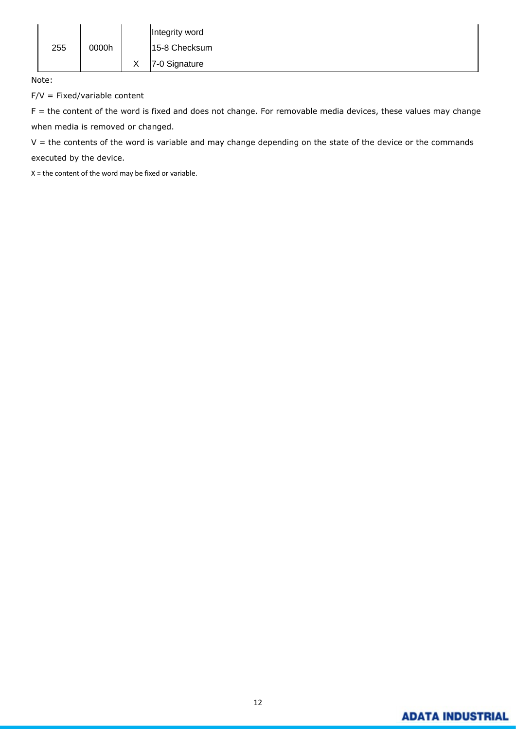|     |       |        | Integrity word |
|-----|-------|--------|----------------|
| 255 | 0000h |        | 15-8 Checksum  |
|     |       | v<br>⌒ | 7-0 Signature  |

Note:

 $F/V = Fixed/variable content$ 

F = the content of the word is fixed and does not change. For removable media devices, these values may change when media is removed or changed.

 $V =$  the contents of the word is variable and may change depending on the state of the device or the commands executed by the device.

X = the content of the word may be fixed or variable.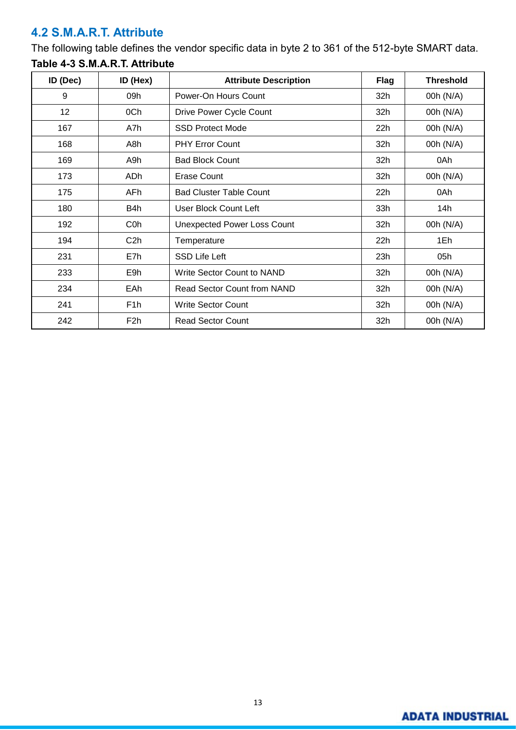## <span id="page-16-0"></span>**4.2 S.M.A.R.T. Attribute**

The following table defines the vendor specific data in byte 2 to 361 of the 512-byte SMART data.

| ID (Dec) | ID (Hex)         | <b>Attribute Description</b>       | <b>Flag</b> | <b>Threshold</b> |
|----------|------------------|------------------------------------|-------------|------------------|
| 9        | 09h              | Power-On Hours Count               | 32h         | 00h (N/A)        |
| 12       | 0Ch              | Drive Power Cycle Count            | 32h         | 00h (N/A)        |
| 167      | A7h              | <b>SSD Protect Mode</b>            | 22h         | 00h (N/A)        |
| 168      | A8h              | <b>PHY Error Count</b>             | 32h         | 00h (N/A)        |
| 169      | A9h              | <b>Bad Block Count</b>             | 32h         | 0Ah              |
| 173      | ADh              | Erase Count                        | 32h         | 00h (N/A)        |
| 175      | AFh              | <b>Bad Cluster Table Count</b>     | 22h         | 0Ah              |
| 180      | B4h              | User Block Count Left              | 33h         | 14h              |
| 192      | C <sub>0</sub> h | <b>Unexpected Power Loss Count</b> | 32h         | 00h (N/A)        |
| 194      | C <sub>2</sub> h | Temperature                        | 22h         | 1Eh              |
| 231      | E7h              | <b>SSD Life Left</b>               | 23h         | 05h              |
| 233      | E9h              | <b>Write Sector Count to NAND</b>  | 32h         | 00h (N/A)        |
| 234      | EAh              | Read Sector Count from NAND        | 32h         | 00h (N/A)        |
| 241      | F <sub>1</sub> h | <b>Write Sector Count</b>          | 32h         | 00h (N/A)        |
| 242      | F <sub>2</sub> h | <b>Read Sector Count</b>           | 32h         | 00h (N/A)        |

## **Table 4-3 S.M.A.R.T. Attribute**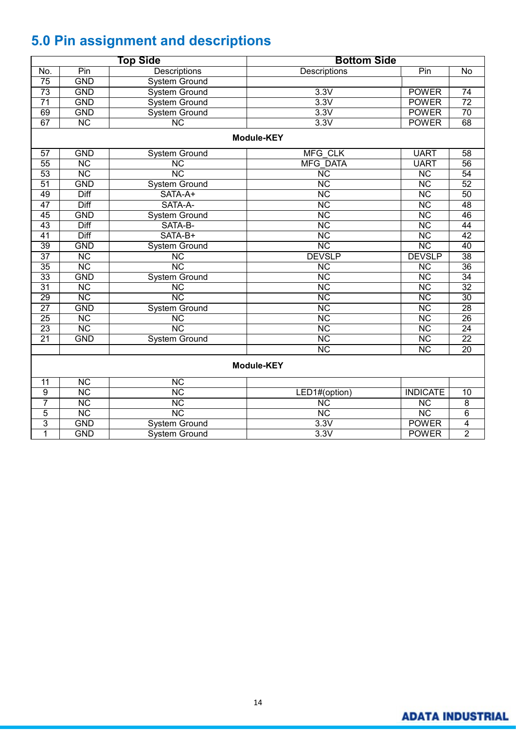# <span id="page-17-0"></span>**5.0 Pin assignment and descriptions**

| <b>Top Side</b> |                        |                        | <b>Bottom Side</b>     |                        |                 |  |  |  |  |  |
|-----------------|------------------------|------------------------|------------------------|------------------------|-----------------|--|--|--|--|--|
| No.             | Pin                    | Descriptions           | Descriptions           | Pin                    | $\overline{N}$  |  |  |  |  |  |
| 75              | <b>GND</b>             | <b>System Ground</b>   |                        |                        |                 |  |  |  |  |  |
| 73              | <b>GND</b>             | <b>System Ground</b>   | 3.3V                   | <b>POWER</b>           | $\overline{74}$ |  |  |  |  |  |
| $\overline{71}$ | <b>GND</b>             | <b>System Ground</b>   | 3.3V                   | <b>POWER</b>           | $\overline{72}$ |  |  |  |  |  |
| 69              | <b>GND</b>             | <b>System Ground</b>   | 3.3V                   | <b>POWER</b>           | $\overline{70}$ |  |  |  |  |  |
| 67              | $\overline{\text{NC}}$ | $\overline{\text{NC}}$ | 3.3V                   | <b>POWER</b>           | 68              |  |  |  |  |  |
|                 | <b>Module-KEY</b>      |                        |                        |                        |                 |  |  |  |  |  |
| 57              | <b>GND</b>             | <b>System Ground</b>   | <b>MFG CLK</b>         | <b>UART</b>            | 58              |  |  |  |  |  |
| 55              | $\overline{\text{NC}}$ | $\overline{\text{NC}}$ | <b>MFG DATA</b>        | <b>UART</b>            | 56              |  |  |  |  |  |
| 53              | $\overline{\text{NC}}$ | NC                     | $\overline{\text{NC}}$ | $\overline{\text{NC}}$ | 54              |  |  |  |  |  |
| 51              | <b>GND</b>             | <b>System Ground</b>   | $\overline{\text{NC}}$ | $\overline{\text{NC}}$ | 52              |  |  |  |  |  |
| 49              | Diff                   | SATA-A+                | $\overline{\text{NC}}$ | $\overline{\text{NC}}$ | 50              |  |  |  |  |  |
| 47              | <b>Diff</b>            | SATA-A-                | $\overline{\text{NC}}$ | $\overline{\text{NC}}$ | 48              |  |  |  |  |  |
| 45              | <b>GND</b>             | <b>System Ground</b>   | $\overline{\text{NC}}$ | $\overline{\text{NC}}$ | 46              |  |  |  |  |  |
| 43              | Diff                   | SATA-B-                | $\overline{\text{NC}}$ | $\overline{\text{NC}}$ | 44              |  |  |  |  |  |
| 41              | <b>Diff</b>            | SATA-B+                | $\overline{\text{NC}}$ | $\overline{\text{NC}}$ | 42              |  |  |  |  |  |
| 39              | <b>GND</b>             | <b>System Ground</b>   | $\overline{\text{NC}}$ | $\overline{\text{NC}}$ | 40              |  |  |  |  |  |
| $\overline{37}$ | $\overline{\text{NC}}$ | $\overline{\text{NC}}$ | <b>DEVSLP</b>          | <b>DEVSLP</b>          | $\overline{38}$ |  |  |  |  |  |
| 35              | <b>NC</b>              | $\overline{\text{NC}}$ | $\overline{\text{NC}}$ | $\overline{\text{NC}}$ | 36              |  |  |  |  |  |
| 33              | <b>GND</b>             | <b>System Ground</b>   | $\overline{\text{NC}}$ | $\overline{\text{NC}}$ | 34              |  |  |  |  |  |
| $\overline{31}$ | $\overline{\text{NC}}$ | $\overline{\text{NC}}$ | $\overline{\text{NC}}$ | $\overline{\text{NC}}$ | $\overline{32}$ |  |  |  |  |  |
| 29              | NC                     | NC                     | $\overline{\text{NC}}$ | $\overline{\text{NC}}$ | 30              |  |  |  |  |  |
| $\overline{27}$ | <b>GND</b>             | <b>System Ground</b>   | $\overline{\text{NC}}$ | $\overline{\text{NC}}$ | 28              |  |  |  |  |  |
| 25              | $\overline{\text{NC}}$ | $\overline{\text{NC}}$ | $\overline{\text{NC}}$ | $\overline{\text{NC}}$ | $\overline{26}$ |  |  |  |  |  |
| 23              | $\overline{\text{NC}}$ | $\overline{\text{NC}}$ | $\overline{\text{NC}}$ | $\overline{\text{NC}}$ | 24              |  |  |  |  |  |
| $\overline{21}$ | <b>GND</b>             | <b>System Ground</b>   | $\overline{\text{NC}}$ | $\overline{\text{NC}}$ | $\overline{22}$ |  |  |  |  |  |
|                 |                        |                        | $\overline{\text{NC}}$ | $\overline{\text{NC}}$ | $\overline{20}$ |  |  |  |  |  |
|                 | <b>Module-KEY</b>      |                        |                        |                        |                 |  |  |  |  |  |
| 11              | $\overline{\text{NC}}$ | $\overline{\text{NC}}$ |                        |                        |                 |  |  |  |  |  |
| $\overline{9}$  | $\overline{\text{NC}}$ | $\overline{\text{NC}}$ | LED1#(option)          | <b>INDICATE</b>        | $\overline{10}$ |  |  |  |  |  |
| 7               | $\overline{\text{NC}}$ | $\overline{\text{NC}}$ | $\overline{\text{NC}}$ | $\overline{\text{NC}}$ | $\overline{8}$  |  |  |  |  |  |
| $\overline{5}$  | $\overline{\text{NC}}$ | $\overline{\text{NC}}$ | $\overline{\text{NC}}$ | $\overline{\text{NC}}$ | $\overline{6}$  |  |  |  |  |  |
| 3               | <b>GND</b>             | <b>System Ground</b>   | 3.3V                   | <b>POWER</b>           | $\overline{4}$  |  |  |  |  |  |
| $\overline{1}$  | <b>GND</b>             | <b>System Ground</b>   | 3.3V                   | <b>POWER</b>           | $\overline{2}$  |  |  |  |  |  |